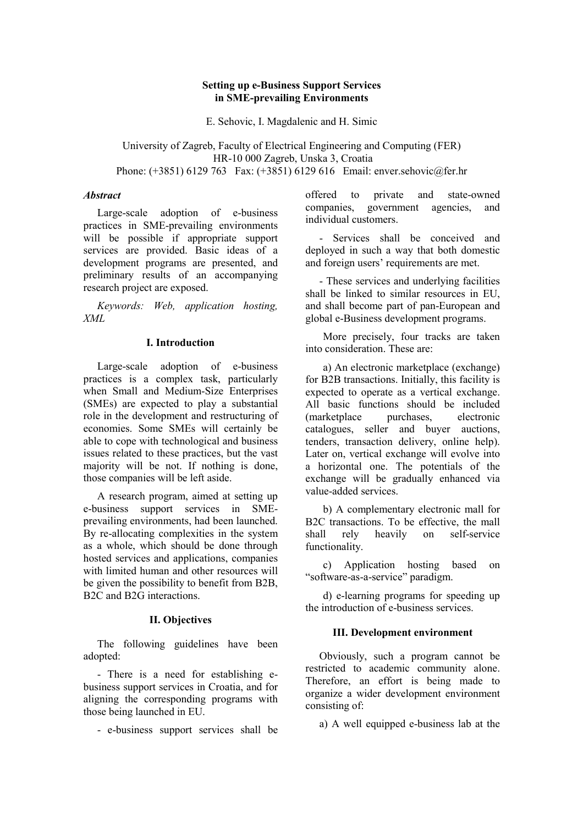#### **Setting up e-Business Support Services in SME-prevailing Environments**

E. Sehovic, I. Magdalenic and H. Simic

University of Zagreb, Faculty of Electrical Engineering and Computing (FER) HR-10 000 Zagreb, Unska 3, Croatia Phone: (+3851) 6129 763 Fax: (+3851) 6129 616 Email: enver.sehovic@fer.hr

#### *Abstract*

Large-scale adoption of e-business practices in SME-prevailing environments will be possible if appropriate support services are provided. Basic ideas of a development programs are presented, and preliminary results of an accompanying research project are exposed.

*Keywords: Web, application hosting, XML* 

#### **I. Introduction**

Large-scale adoption of e-business practices is a complex task, particularly when Small and Medium-Size Enterprises (SMEs) are expected to play a substantial role in the development and restructuring of economies. Some SMEs will certainly be able to cope with technological and business issues related to these practices, but the vast majority will be not. If nothing is done, those companies will be left aside.

A research program, aimed at setting up e-business support services in SMEprevailing environments, had been launched. By re-allocating complexities in the system as a whole, which should be done through hosted services and applications, companies with limited human and other resources will be given the possibility to benefit from B2B, B2C and B2G interactions.

#### **II. Objectives**

The following guidelines have been adopted:

- There is a need for establishing ebusiness support services in Croatia, and for aligning the corresponding programs with those being launched in EU.

- e-business support services shall be

offered to private and state-owned companies, government agencies, and individual customers.

- Services shall be conceived and deployed in such a way that both domestic and foreign users' requirements are met.

- These services and underlying facilities shall be linked to similar resources in EU, and shall become part of pan-European and global e-Business development programs.

More precisely, four tracks are taken into consideration. These are:

a) An electronic marketplace (exchange) for B2B transactions. Initially, this facility is expected to operate as a vertical exchange. All basic functions should be included<br>(marketplace purchases, electronic (marketplace purchases, electronic catalogues, seller and buyer auctions, tenders, transaction delivery, online help). Later on, vertical exchange will evolve into a horizontal one. The potentials of the exchange will be gradually enhanced via value-added services.

b) A complementary electronic mall for B2C transactions. To be effective, the mall shall rely heavily on self-service functionality.

c) Application hosting based on "software-as-a-service" paradigm.

d) e-learning programs for speeding up the introduction of e-business services.

#### **III. Development environment**

Obviously, such a program cannot be restricted to academic community alone. Therefore, an effort is being made to organize a wider development environment consisting of:

a) A well equipped e-business lab at the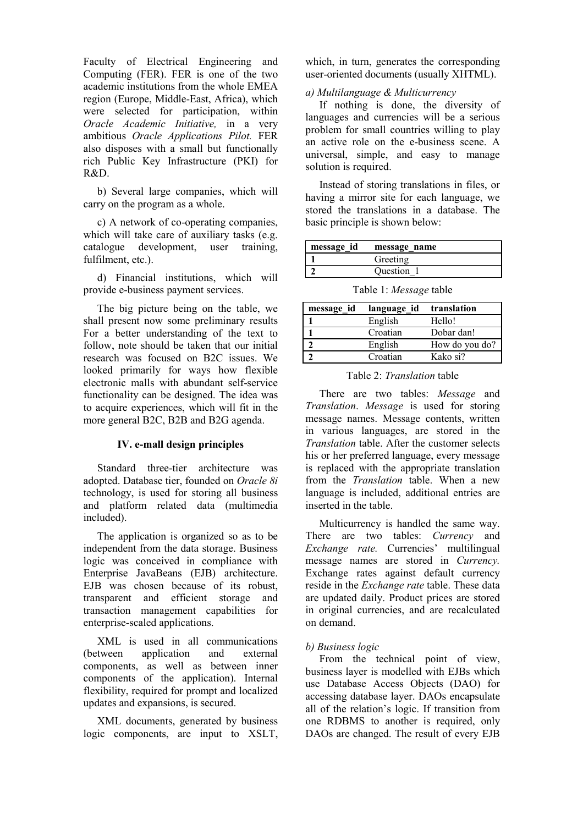Faculty of Electrical Engineering and Computing (FER). FER is one of the two academic institutions from the whole EMEA region (Europe, Middle-East, Africa), which were selected for participation, within *Oracle Academic Initiative,* in a very ambitious *Oracle Applications Pilot.* FER also disposes with a small but functionally rich Public Key Infrastructure (PKI) for R&D.

b) Several large companies, which will carry on the program as a whole.

c) A network of co-operating companies, which will take care of auxiliary tasks (e.g. catalogue development, user training, fulfilment, etc.).

d) Financial institutions, which will provide e-business payment services.

The big picture being on the table, we shall present now some preliminary results For a better understanding of the text to follow, note should be taken that our initial research was focused on B2C issues. We looked primarily for ways how flexible electronic malls with abundant self-service functionality can be designed. The idea was to acquire experiences, which will fit in the more general B2C, B2B and B2G agenda.

#### **IV. e-mall design principles**

Standard three-tier architecture was adopted. Database tier, founded on *Oracle 8i* technology, is used for storing all business and platform related data (multimedia included).

The application is organized so as to be independent from the data storage. Business logic was conceived in compliance with Enterprise JavaBeans (EJB) architecture. EJB was chosen because of its robust, transparent and efficient storage and transaction management capabilities for enterprise-scaled applications.

XML is used in all communications (between application and external components, as well as between inner components of the application). Internal flexibility, required for prompt and localized updates and expansions, is secured.

XML documents, generated by business logic components, are input to XSLT, which, in turn, generates the corresponding user-oriented documents (usually XHTML).

*a) Multilanguage & Multicurrency* 

If nothing is done, the diversity of languages and currencies will be a serious problem for small countries willing to play an active role on the e-business scene. A universal, simple, and easy to manage solution is required.

Instead of storing translations in files, or having a mirror site for each language, we stored the translations in a database. The basic principle is shown below:

| message_id | message name |
|------------|--------------|
|            | Greeting     |
|            | Question 1   |

Table 1: *Message* table

| message id | language id | translation    |
|------------|-------------|----------------|
|            | English     | Hello!         |
|            | Croatian    | Dobar dan!     |
|            | English     | How do you do? |
|            | Croatian    | Kako si?       |
|            |             |                |

#### Table 2: *Translation* table

There are two tables: *Message* and *Translation*. *Message* is used for storing message names. Message contents, written in various languages, are stored in the *Translation* table. After the customer selects his or her preferred language, every message is replaced with the appropriate translation from the *Translation* table. When a new language is included, additional entries are inserted in the table.

Multicurrency is handled the same way. There are two tables: *Currency* and *Exchange rate.* Currencies' multilingual message names are stored in *Currency.* Exchange rates against default currency reside in the *Exchange rate* table. These data are updated daily. Product prices are stored in original currencies, and are recalculated on demand.

## *b) Business logic*

From the technical point of view, business layer is modelled with EJBs which use Database Access Objects (DAO) for accessing database layer. DAOs encapsulate all of the relation's logic. If transition from one RDBMS to another is required, only DAOs are changed. The result of every EJB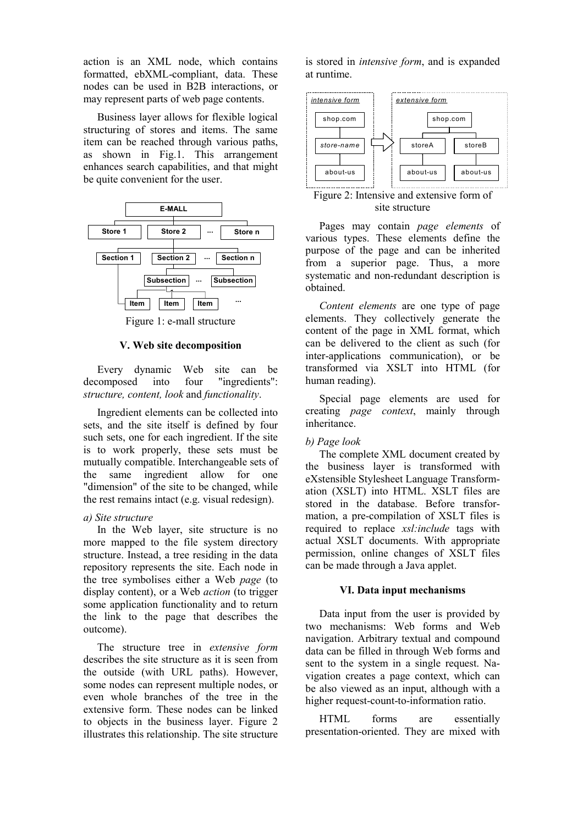action is an XML node, which contains formatted, ebXML-compliant, data. These nodes can be used in B2B interactions, or may represent parts of web page contents.

Business layer allows for flexible logical structuring of stores and items. The same item can be reached through various paths, as shown in Fig.1. This arrangement enhances search capabilities, and that might be quite convenient for the user.



Figure 1: e-mall structure

## **V. Web site decomposition**

Every dynamic Web site can be decomposed into four "ingredients": *structure, content, look* and *functionality*.

Ingredient elements can be collected into sets, and the site itself is defined by four such sets, one for each ingredient. If the site is to work properly, these sets must be mutually compatible. Interchangeable sets of the same ingredient allow for one "dimension" of the site to be changed, while the rest remains intact (e.g. visual redesign).

## *a) Site structure*

In the Web layer, site structure is no more mapped to the file system directory structure. Instead, a tree residing in the data repository represents the site. Each node in the tree symbolises either a Web *page* (to display content), or a Web *action* (to trigger some application functionality and to return the link to the page that describes the outcome).

The structure tree in *extensive form* describes the site structure as it is seen from the outside (with URL paths). However, some nodes can represent multiple nodes, or even whole branches of the tree in the extensive form. These nodes can be linked to objects in the business layer. Figure 2 illustrates this relationship. The site structure is stored in *intensive form*, and is expanded at runtime.



Figure 2: Intensive and extensive form of site structure

Pages may contain *page elements* of various types. These elements define the purpose of the page and can be inherited from a superior page. Thus, a more systematic and non-redundant description is obtained.

*Content elements* are one type of page elements. They collectively generate the content of the page in XML format, which can be delivered to the client as such (for inter-applications communication), or be transformed via XSLT into HTML (for human reading).

Special page elements are used for creating *page context*, mainly through inheritance.

## *b) Page look*

The complete XML document created by the business layer is transformed with eXstensible Stylesheet Language Transformation (XSLT) into HTML. XSLT files are stored in the database. Before transformation, a pre-compilation of XSLT files is required to replace *xsl:include* tags with actual XSLT documents. With appropriate permission, online changes of XSLT files can be made through a Java applet.

# **VI. Data input mechanisms**

Data input from the user is provided by two mechanisms: Web forms and Web navigation. Arbitrary textual and compound data can be filled in through Web forms and sent to the system in a single request. Navigation creates a page context, which can be also viewed as an input, although with a higher request-count-to-information ratio.

HTML forms are essentially presentation-oriented. They are mixed with